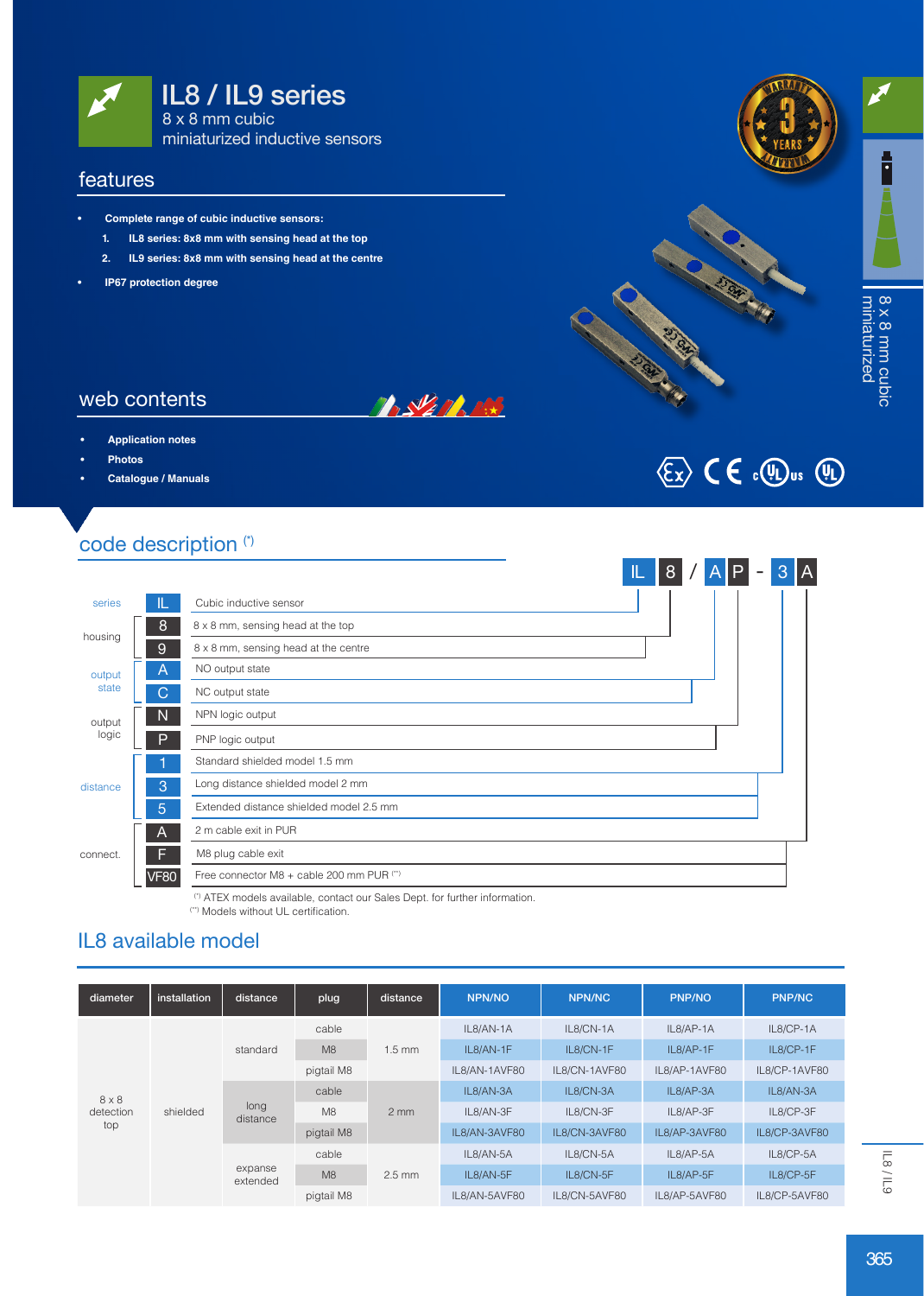

#### features

- **• Complete range of cubic inductive sensors:**
	- **1. IL8 series: 8x8 mm with sensing head at the top**
	- **2. IL9 series: 8x8 mm with sensing head at the centre**
- **• IP67 protection degree**







# 8 x 8 mm cubic<br>miniaturized miniaturized 8 x 8 mm cubic

### web contents

- **• Application notes**
- **• Photos**
- **• Catalogue / Manuals**

# $\langle \overline{\xi_x} \rangle$  (  $\in$   $\Omega$ ,  $\langle \overline{\psi} \rangle$   $\omega$   $\langle \overline{\psi} \rangle$

## code description (\*)

|                 |             |                                           | T | 8 | A <sub>IP</sub> |  | $\mathbf{3}$ | $\mathsf{I}$ A |
|-----------------|-------------|-------------------------------------------|---|---|-----------------|--|--------------|----------------|
| series          |             | Cubic inductive sensor                    |   |   |                 |  |              |                |
| housing         | 8           | 8 x 8 mm, sensing head at the top         |   |   |                 |  |              |                |
|                 | 9           | 8 x 8 mm, sensing head at the centre      |   |   |                 |  |              |                |
| output<br>state | A           | NO output state                           |   |   |                 |  |              |                |
|                 | C           | NC output state                           |   |   |                 |  |              |                |
| output          | N           | NPN logic output                          |   |   |                 |  |              |                |
| logic           | P           | PNP logic output                          |   |   |                 |  |              |                |
|                 |             | Standard shielded model 1.5 mm            |   |   |                 |  |              |                |
| distance        | 3           | Long distance shielded model 2 mm         |   |   |                 |  |              |                |
|                 | 5           | Extended distance shielded model 2.5 mm   |   |   |                 |  |              |                |
| connect.        | A           | 2 m cable exit in PUR                     |   |   |                 |  |              |                |
|                 | F           | M8 plug cable exit                        |   |   |                 |  |              |                |
|                 | <b>VF80</b> | Free connector M8 + cable 200 mm PUR (**) |   |   |                 |  |              |                |

**BASE MARIA** 

(\*) ATEX models available, contact our Sales Dept. for further information. (\*\*) Models without UL certification.

### IL8 available model

| diameter         | installation | distance            | plug       | distance         | <b>NPN/NO</b> | <b>NPN/NC</b> | <b>PNP/NO</b> | <b>PNP/NC</b> |
|------------------|--------------|---------------------|------------|------------------|---------------|---------------|---------------|---------------|
|                  | shielded     | standard            | cable      | $1.5 \text{ mm}$ | IL8/AN-1A     | IL8/CN-1A     | IL8/AP-1A     | IL8/CP-1A     |
|                  |              |                     | M8         |                  | IL8/AN-1F     | IL8/CN-1F     | IL8/AP-1F     | IL8/CP-1F     |
|                  |              |                     | pigtail M8 |                  | IL8/AN-1AVF80 | IL8/CN-1AVF80 | IL8/AP-1AVF80 | IL8/CP-1AVF80 |
| $8 \times 8$     |              | long<br>distance    | cable      | $2 \text{ mm}$   | IL8/AN-3A     | IL8/CN-3A     | IL8/AP-3A     | IL8/AN-3A     |
| detection<br>top |              |                     | M8         |                  | IL8/AN-3F     | IL8/CN-3F     | IL8/AP-3F     | IL8/CP-3F     |
|                  |              |                     | pigtail M8 |                  | IL8/AN-3AVF80 | IL8/CN-3AVF80 | IL8/AP-3AVF80 | IL8/CP-3AVF80 |
|                  |              | expanse<br>extended | cable      | $2.5$ mm         | IL8/AN-5A     | IL8/CN-5A     | IL8/AP-5A     | IL8/CP-5A     |
|                  |              |                     | M8         |                  | IL8/AN-5F     | IL8/CN-5F     | IL8/AP-5F     | IL8/CP-5F     |
|                  |              |                     | pigtail M8 |                  | IL8/AN-5AVF80 | IL8/CN-5AVF80 | IL8/AP-5AVF80 | IL8/CP-5AVF80 |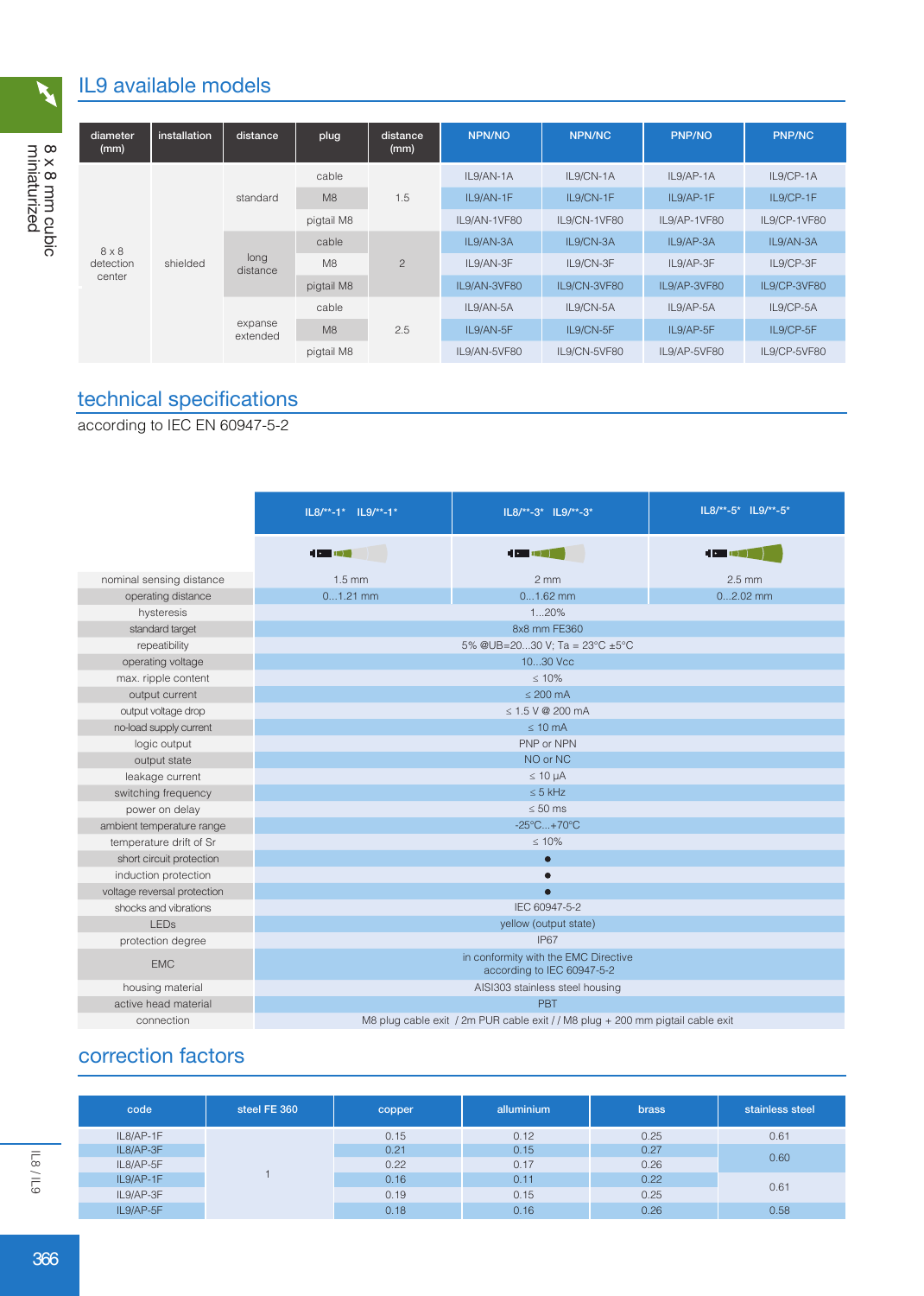# IL9 available models

| diameter<br>(mm)    | installation | distance            | plug           | distance<br>(mm) | <b>NPN/NO</b> | <b>NPN/NC</b> | <b>PNP/NO</b> | <b>PNP/NC</b> |
|---------------------|--------------|---------------------|----------------|------------------|---------------|---------------|---------------|---------------|
|                     | shielded     | standard            | cable          | 1.5              | IL9/AN-1A     | IL9/CN-1A     | IL9/AP-1A     | IL9/CP-1A     |
|                     |              |                     | M8             |                  | IL9/AN-1F     | IL9/CN-1F     | IL9/AP-1F     | IL9/CP-1F     |
|                     |              |                     | pigtail M8     |                  | IL9/AN-1VF80  | IL9/CN-1VF80  | IL9/AP-1VF80  | IL9/CP-1VF80  |
| $8 \times 8$        |              | long<br>distance    | cable          | $\overline{2}$   | IL9/AN-3A     | IL9/CN-3A     | IL9/AP-3A     | IL9/AN-3A     |
| detection<br>center |              |                     | M <sub>8</sub> |                  | IL9/AN-3F     | IL9/CN-3F     | IL9/AP-3F     | IL9/CP-3F     |
|                     |              |                     | pigtail M8     |                  | IL9/AN-3VF80  | IL9/CN-3VF80  | IL9/AP-3VF80  | IL9/CP-3VF80  |
|                     |              | expanse<br>extended | cable          | 2.5              | IL9/AN-5A     | IL9/CN-5A     | IL9/AP-5A     | IL9/CP-5A     |
|                     |              |                     | M8             |                  | IL9/AN-5F     | IL9/CN-5F     | IL9/AP-5F     | IL9/CP-5F     |
|                     |              |                     | pigtail M8     | IL9/AN-5VF80     | IL9/CN-5VF80  | IL9/AP-5VF80  | IL9/CP-5VF80  |               |

# technical specifications

according to IEC EN 60947-5-2

|                             | $IL8/*-1* IL9/*-1*$ | IL8/**-3* IL9/**-3*                                                            | IL8/**-5* IL9/**-5* |  |  |  |  |
|-----------------------------|---------------------|--------------------------------------------------------------------------------|---------------------|--|--|--|--|
|                             | <b>HORNE</b>        |                                                                                |                     |  |  |  |  |
| nominal sensing distance    | $1.5 \text{ mm}$    | $2 \, \text{mm}$                                                               | $2.5$ mm            |  |  |  |  |
| operating distance          | $01.21$ mm          | $01.62$ mm                                                                     | $02.02$ mm          |  |  |  |  |
| hysteresis                  |                     | 120%                                                                           |                     |  |  |  |  |
| standard target             |                     | 8x8 mm FE360                                                                   |                     |  |  |  |  |
| repeatibility               |                     | 5% @UB=2030 V; Ta = 23°C ±5°C                                                  |                     |  |  |  |  |
| operating voltage           |                     | 1030 Vcc                                                                       |                     |  |  |  |  |
| max. ripple content         |                     | $\leq 10\%$                                                                    |                     |  |  |  |  |
| output current              |                     | $\leq$ 200 mA                                                                  |                     |  |  |  |  |
| output voltage drop         |                     | $\leq 1.5$ V @ 200 mA                                                          |                     |  |  |  |  |
| no-load supply current      |                     | $\leq 10$ mA                                                                   |                     |  |  |  |  |
| logic output                |                     | PNP or NPN                                                                     |                     |  |  |  |  |
| output state                |                     | NO or NC                                                                       |                     |  |  |  |  |
| leakage current             | $\leq 10 \mu A$     |                                                                                |                     |  |  |  |  |
| switching frequency         | $\leq$ 5 kHz        |                                                                                |                     |  |  |  |  |
| power on delay              |                     | $\leq 50$ ms                                                                   |                     |  |  |  |  |
| ambient temperature range   |                     | $-25^{\circ}$ C +70 $^{\circ}$ C                                               |                     |  |  |  |  |
| temperature drift of Sr     |                     | $\leq 10\%$                                                                    |                     |  |  |  |  |
| short circuit protection    |                     | $\bullet$                                                                      |                     |  |  |  |  |
| induction protection        |                     |                                                                                |                     |  |  |  |  |
| voltage reversal protection |                     | $\bullet$                                                                      |                     |  |  |  |  |
| shocks and vibrations       |                     | IEC 60947-5-2                                                                  |                     |  |  |  |  |
| <b>LED<sub>s</sub></b>      |                     | yellow (output state)                                                          |                     |  |  |  |  |
| protection degree           |                     | IP67                                                                           |                     |  |  |  |  |
| <b>EMC</b>                  |                     | in conformity with the EMC Directive<br>according to IEC 60947-5-2             |                     |  |  |  |  |
| housing material            |                     | AISI303 stainless steel housing                                                |                     |  |  |  |  |
| active head material        |                     | PBT                                                                            |                     |  |  |  |  |
| connection                  |                     | M8 plug cable exit / 2m PUR cable exit / / M8 plug + 200 mm pigtail cable exit |                     |  |  |  |  |

# correction factors

| code      | steel FE 360 | copper | alluminium | <b>brass</b> | stainless steel |
|-----------|--------------|--------|------------|--------------|-----------------|
| IL8/AP-1F |              | 0.15   | 0.12       | 0.25         | 0.61            |
| IL8/AP-3F |              | 0.21   | 0.15       | 0.27         |                 |
| IL8/AP-5F |              | 0.22   | 0.17       | 0.26         | 0.60            |
| IL9/AP-1F |              | 0.16   | 0.11       | 0.22         |                 |
| IL9/AP-3F |              | 0.19   | 0.15       | 0.25         | 0.61            |
| IL9/AP-5F |              | 0.18   | 0.16       | 0.26         | 0.58            |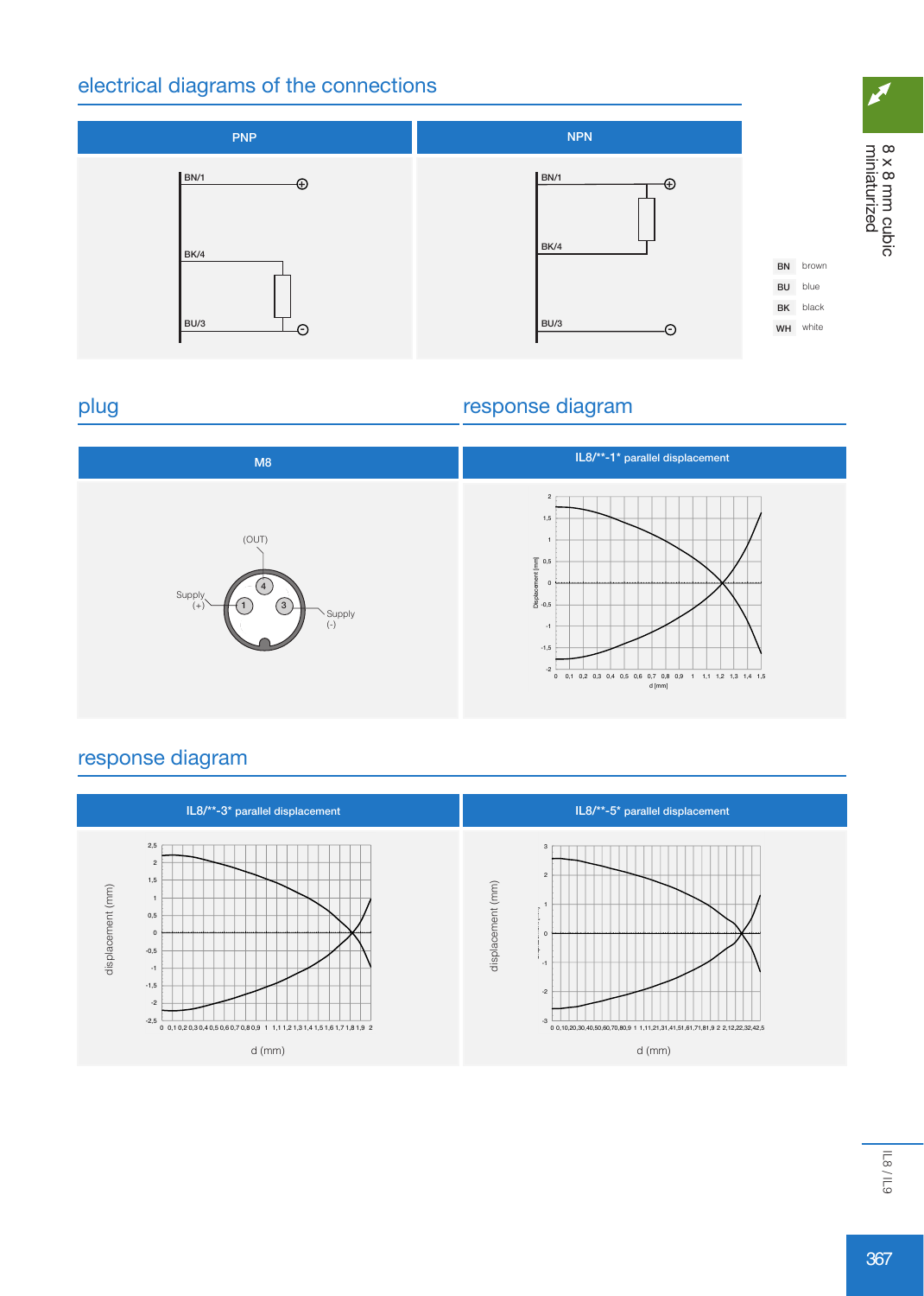## electrical diagrams of the connections



### plug

## response diagram



## response diagram